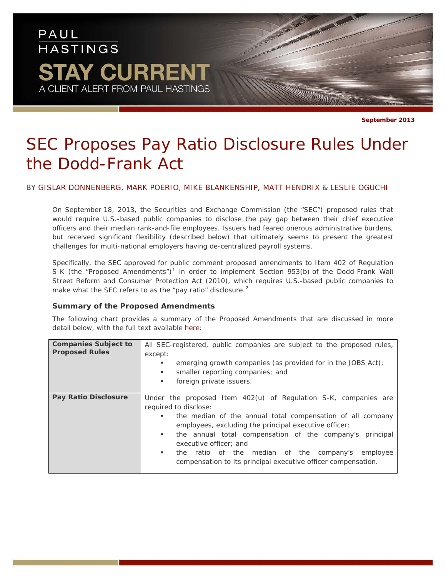## PAUL **HASTINGS STAY CURRENT** A CLIENT ALERT FROM PAUL HASTINGS

**September 2013**

# *SEC Proposes Pay Ratio Disclosure Rules Under the Dodd-Frank Act*

## BY [GISLAR DONNENBERG,](http://www.paulhastings.com/professionals/details/gislardonnenberg) [MARK POERIO,](http://www.paulhastings.com/professionals/details/markpoerio) [MIKE BLANKENSHIP,](http://www.paulhastings.com/professionals/details/michaelblankenship) [MATT HENDRIX](http://www.paulhastings.com/professionals/details/matthewhendrix) & [LESLIE OGUCHI](http://www.paulhastings.com/professionals/details/leslieoguchi)

On September 18, 2013, the Securities and Exchange Commission (the "SEC") proposed rules that would require U.S.-based public companies to disclose the pay gap between their chief executive officers and their median rank-and-file employees. Issuers had feared onerous administrative burdens, but received significant flexibility (described below) that ultimately seems to present the greatest challenges for multi-national employers having de-centralized payroll systems.

Specifically, the SEC approved for public comment proposed amendments to Item 402 of Regulation S-K (the "Proposed Amendments")<sup>[1](#page-6-0)</sup> in order to implement Section 953(b) of the Dodd-Frank Wall Street Reform and Consumer Protection Act (2010), which requires U.S.-based public companies to make what the SEC refers to as the "pay ratio" disclosure.<sup>[2](#page-6-1)</sup>

### **Summary of the Proposed Amendments**

The following chart provides a summary of the Proposed Amendments that are discussed in more detail below, with the full text available [here:](http://www.paulhastings.com/docs/default-source/the-way-we-work---publications/text-of-proposed-amendments.pdf?sfvrsn=2)

| <b>Companies Subject to</b><br><b>Proposed Rules</b> | All SEC-registered, public companies are subject to the proposed rules,<br>except:<br>emerging growth companies (as provided for in the JOBS Act);<br>٠<br>smaller reporting companies; and<br>٠<br>foreign private issuers.<br>٠                                                                                                                                                                                                            |
|------------------------------------------------------|----------------------------------------------------------------------------------------------------------------------------------------------------------------------------------------------------------------------------------------------------------------------------------------------------------------------------------------------------------------------------------------------------------------------------------------------|
| <b>Pay Ratio Disclosure</b>                          | Under the proposed Item 402(u) of Regulation S-K, companies are<br>required to disclose:<br>the median of the annual total compensation of all company<br>٠<br>employees, excluding the principal executive officer;<br>the annual total compensation of the company's principal<br>п.<br>executive officer: and<br>the ratio of the median of the company's employee<br>٠.<br>compensation to its principal executive officer compensation. |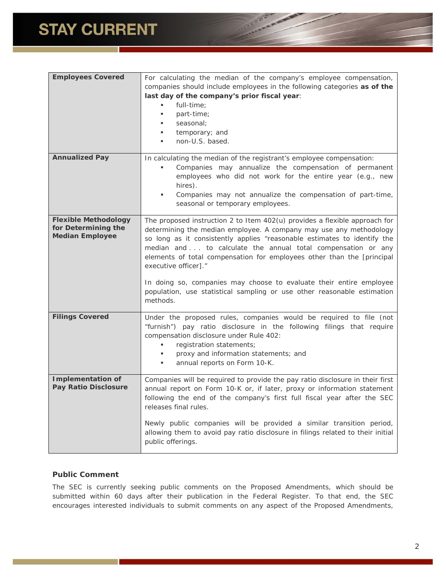| <b>Employees Covered</b>                                                     | For calculating the median of the company's employee compensation,<br>companies should include employees in the following categories as of the<br>last day of the company's prior fiscal year:<br>full-time;<br>٠<br>part-time;<br>seasonal;<br>temporary; and<br>٠<br>non-U.S. based.<br>٠                                                                                                                                                                                                                                                                  |
|------------------------------------------------------------------------------|--------------------------------------------------------------------------------------------------------------------------------------------------------------------------------------------------------------------------------------------------------------------------------------------------------------------------------------------------------------------------------------------------------------------------------------------------------------------------------------------------------------------------------------------------------------|
| <b>Annualized Pay</b>                                                        | In calculating the median of the registrant's employee compensation:<br>Companies may annualize the compensation of permanent<br>employees who did not work for the entire year (e.g., new<br>hires).<br>Companies may not annualize the compensation of part-time,<br>٠<br>seasonal or temporary employees.                                                                                                                                                                                                                                                 |
| <b>Flexible Methodology</b><br>for Determining the<br><b>Median Employee</b> | The proposed instruction 2 to Item 402(u) provides a flexible approach for<br>determining the median employee. A company may use any methodology<br>so long as it consistently applies "reasonable estimates to identify the<br>median and to calculate the annual total compensation or any<br>elements of total compensation for employees other than the [principal<br>executive officer]."<br>In doing so, companies may choose to evaluate their entire employee<br>population, use statistical sampling or use other reasonable estimation<br>methods. |
| <b>Filings Covered</b>                                                       | Under the proposed rules, companies would be required to file (not<br>"furnish") pay ratio disclosure in the following filings that require<br>compensation disclosure under Rule 402:<br>registration statements;<br>٠<br>proxy and information statements; and<br>٠<br>annual reports on Form 10-K.                                                                                                                                                                                                                                                        |
| <b>Implementation of</b><br><b>Pay Ratio Disclosure</b>                      | Companies will be required to provide the pay ratio disclosure in their first<br>annual report on Form 10-K or, if later, proxy or information statement<br>following the end of the company's first full fiscal year after the SEC<br>releases final rules.<br>Newly public companies will be provided a similar transition period,<br>allowing them to avoid pay ratio disclosure in filings related to their initial<br>public offerings.                                                                                                                 |

**CONTRACTOR** 

## **Public Comment**

The SEC is currently seeking public comments on the Proposed Amendments, which should be submitted within 60 days after their publication in the Federal Register. To that end, the SEC encourages interested individuals to submit comments on any aspect of the Proposed Amendments,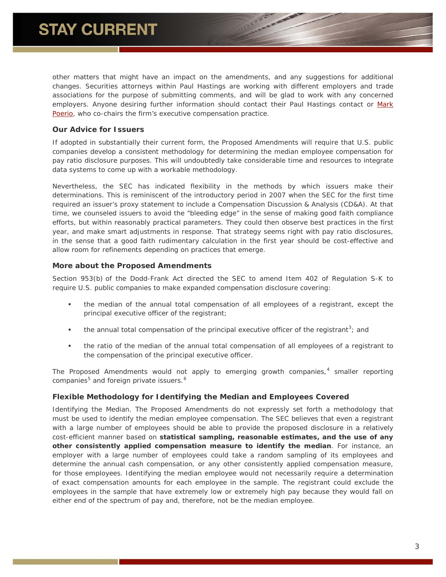other matters that might have an impact on the amendments, and any suggestions for additional changes. Securities attorneys within Paul Hastings are working with different employers and trade associations for the purpose of submitting comments, and will be glad to work with any concerned employers. Anyone desiring further information should contact their Paul Hastings contact or Mark [Poerio,](mailto:markpoerio@paulhastings.com?subject=%22Pay%20Ratio%22%20Disclosure%20Information) who co-chairs the firm's executive compensation practice.

## **Our Advice for Issuers**

If adopted in substantially their current form, the Proposed Amendments will require that U.S. public companies develop a consistent methodology for determining the median employee compensation for pay ratio disclosure purposes. This will undoubtedly take considerable time and resources to integrate data systems to come up with a workable methodology.

Nevertheless, the SEC has indicated flexibility in the methods by which issuers make their determinations. This is reminiscent of the introductory period in 2007 when the SEC for the first time required an issuer's proxy statement to include a Compensation Discussion & Analysis (CD&A). At that time, we counseled issuers to avoid the "bleeding edge" in the sense of making good faith compliance efforts, but within reasonably practical parameters. They could then observe best practices in the first year, and make smart adjustments in response. That strategy seems right with pay ratio disclosures, in the sense that a good faith rudimentary calculation in the first year should be cost-effective and allow room for refinements depending on practices that emerge.

## **More about the Proposed Amendments**

Section 953(b) of the Dodd-Frank Act directed the SEC to amend Item 402 of Regulation S-K to require U.S. public companies to make expanded compensation disclosure covering:

- the median of the annual total compensation of all employees of a registrant, except the principal executive officer of the registrant;
- $\bullet$  the annual total compensation of the principal executive officer of the registrant<sup>[3](#page-6-2)</sup>; and
- the ratio of the median of the annual total compensation of all employees of a registrant to the compensation of the principal executive officer.

The Proposed Amendments would not apply to emerging growth companies, $4$  smaller reporting companies<sup>[5](#page-6-4)</sup> and foreign private issuers.<sup>[6](#page-6-5)</sup>

## **Flexible Methodology for Identifying the Median and Employees Covered**

*Identifying the Median*. The Proposed Amendments do not expressly set forth a methodology that must be used to identify the median employee compensation. The SEC believes that even a registrant with a large number of employees should be able to provide the proposed disclosure in a relatively cost-efficient manner based on **statistical sampling, reasonable estimates, and the use of any other consistently applied compensation measure to identify the median**. For instance, an employer with a large number of employees could take a random sampling of its employees and determine the annual cash compensation, or any other consistently applied compensation measure, for those employees. Identifying the median employee would not necessarily require a determination of exact compensation amounts for each employee in the sample. The registrant could exclude the employees in the sample that have extremely low or extremely high pay because they would fall on either end of the spectrum of pay and, therefore, not be the median employee.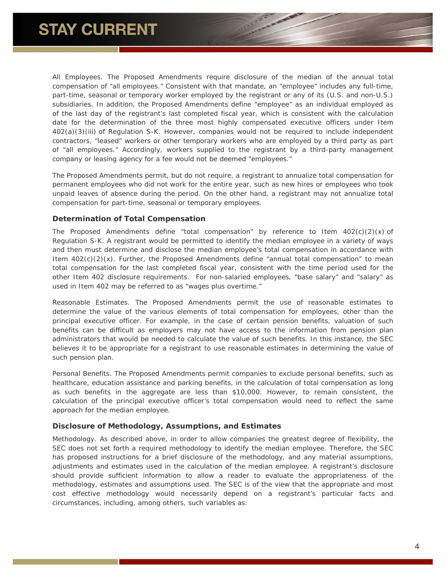*All Employees*. The Proposed Amendments require disclosure of the median of the annual total compensation of "all employees." Consistent with that mandate, an "employee" includes any full-time, part-time, seasonal or temporary worker employed by the registrant or any of its (U.S. and non-U.S.) subsidiaries. In addition, the Proposed Amendments define "employee" as an individual employed as of the last day of the registrant's last completed fiscal year, which is consistent with the calculation date for the determination of the three most highly compensated executive officers under Item 402(a)(3)(iii) of Regulation S-K. However, companies would not be required to include independent contractors, "leased" workers or other temporary workers who are employed by a third party as part of "all employees." Accordingly, workers supplied to the registrant by a third-party management company or leasing agency for a fee would not be deemed "employees."

The Proposed Amendments permit, but do not require, a registrant to annualize total compensation for permanent employees who did not work for the entire year, such as new hires or employees who took unpaid leaves of absence during the period. On the other hand, a registrant may not annualize total compensation for part-time, seasonal or temporary employees.

## **Determination of Total Compensation**

The Proposed Amendments define "total compensation" by reference to Item  $402(c)(2)(x)$  of Regulation S-K. A registrant would be permitted to identify the median employee in a variety of ways and then must determine and disclose the median employee's total compensation in accordance with Item  $402(c)(2)(x)$ . Further, the Proposed Amendments define "annual total compensation" to mean total compensation for the last completed fiscal year, consistent with the time period used for the other Item 402 disclosure requirements. For non-salaried employees, "base salary" and "salary" as used in Item 402 may be referred to as "wages plus overtime."

*Reasonable Estimates*. The Proposed Amendments permit the use of reasonable estimates to determine the value of the various elements of total compensation for employees, other than the principal executive officer. For example, in the case of certain pension benefits, valuation of such benefits can be difficult as employers may not have access to the information from pension plan administrators that would be needed to calculate the value of such benefits. In this instance, the SEC believes it to be appropriate for a registrant to use reasonable estimates in determining the value of such pension plan.

*Personal Benefits*. The Proposed Amendments permit companies to exclude personal benefits, such as healthcare, education assistance and parking benefits, in the calculation of total compensation as long as such benefits in the aggregate are less than \$10,000. However, to remain consistent, the calculation of the principal executive officer's total compensation would need to reflect the same approach for the median employee.

### **Disclosure of Methodology, Assumptions, and Estimates**

*Methodology*. As described above, in order to allow companies the greatest degree of flexibility, the SEC does not set forth a required methodology to identify the median employee. Therefore, the SEC has proposed instructions for a brief disclosure of the methodology, and any material assumptions, adjustments and estimates used in the calculation of the median employee. A registrant's disclosure should provide sufficient information to allow a reader to evaluate the appropriateness of the methodology, estimates and assumptions used. The SEC is of the view that the appropriate and most cost effective methodology would necessarily depend on a registrant's particular facts and circumstances, including, among others, such variables as: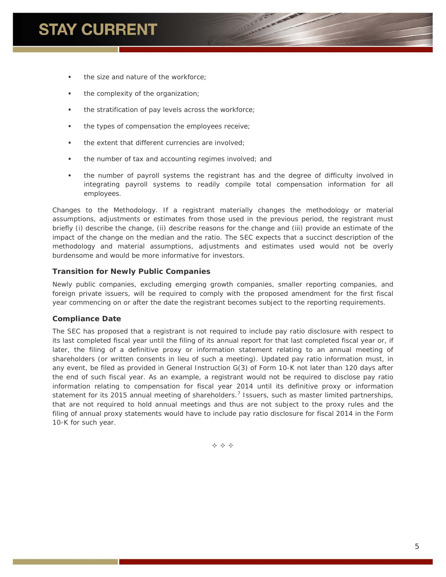- the size and nature of the workforce;
- the complexity of the organization;
- **the stratification of pay levels across the workforce;**
- the types of compensation the employees receive;
- the extent that different currencies are involved;
- **the number of tax and accounting regimes involved; and**
- the number of payroll systems the registrant has and the degree of difficulty involved in integrating payroll systems to readily compile total compensation information for all employees.

*Changes to the Methodology*. If a registrant materially changes the methodology or material assumptions, adjustments or estimates from those used in the previous period, the registrant must briefly (i) describe the change, (ii) describe reasons for the change and (iii) provide an estimate of the impact of the change on the median and the ratio. The SEC expects that a succinct description of the methodology and material assumptions, adjustments and estimates used would not be overly burdensome and would be more informative for investors.

## **Transition for Newly Public Companies**

Newly public companies, excluding emerging growth companies, smaller reporting companies, and foreign private issuers, will be required to comply with the proposed amendment for the first fiscal year commencing on or after the date the registrant becomes subject to the reporting requirements.

## **Compliance Date**

The SEC has proposed that a registrant is not required to include pay ratio disclosure with respect to its last completed fiscal year until the filing of its annual report for that last completed fiscal year or, if later, the filing of a definitive proxy or information statement relating to an annual meeting of shareholders (or written consents in lieu of such a meeting). Updated pay ratio information must, in any event, be filed as provided in General Instruction G(3) of Form 10-K not later than 120 days after the end of such fiscal year. As an example, a registrant would not be required to disclose pay ratio information relating to compensation for fiscal year 2014 until its definitive proxy or information statement for its 2015 annual meeting of shareholders.<sup>[7](#page-6-6)</sup> Issuers, such as master limited partnerships, that are not required to hold annual meetings and thus are not subject to the proxy rules and the filing of annual proxy statements would have to include pay ratio disclosure for fiscal 2014 in the Form 10-K for such year.

 $\Leftrightarrow$   $\Leftrightarrow$   $\Leftrightarrow$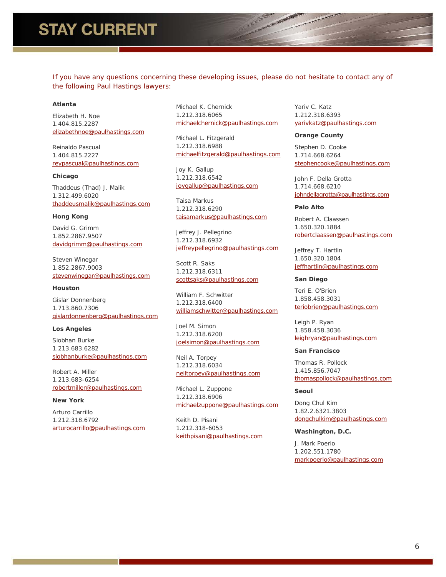## **STAY CURRENT**

If you have any questions concerning these developing issues, please do not hesitate to contact any of *the following Paul Hastings lawyers:*

### **Atlanta**

Elizabeth H. Noe 1.404.815.2287 [elizabethnoe@paulhastings.com](mailto:elizabethnoe@paulhastings.com)

Reinaldo Pascual 1.404.815.2227 [reypascual@paulhastings.com](mailto:reypascual@paulhastings.com)

#### **Chicago**

Thaddeus (Thad) J. Malik 1.312.499.6020 [thaddeusmalik@paulhastings.com](mailto:thaddeusmalik@paulhastings.com)

#### **Hong Kong**

David G. Grimm 1.852.2867.9507 [davidgrimm@paulhastings.com](mailto:davidgrimm@paulhastings.com)

Steven Winegar 1.852.2867.9003 [stevenwinegar@paulhastings.com](mailto:stevenwinegar@paulhastings.com)

#### **Houston**

Gislar Donnenberg 1.713.860.7306 [gislardonnenberg@paulhastings.com](mailto:gislardonnenberg@paulhastings.com)

#### **Los Angeles**

Siobhan Burke 1.213.683.6282 [siobhanburke@paulhastings.com](mailto:siobhanburke@paulhastings.com)

Robert A. Miller 1.213.683-6254 [robertmiller@paulhastings.com](mailto:robertmiller@paulhastings.com)

### **New York**

Arturo Carrillo 1.212.318.6792 [arturocarrillo@paulhastings.com](mailto:arturocarrillo@paulhastings.com) Michael K. Chernick 1.212.318.6065 [michaelchernick@paulhastings.com](mailto:michaelchernick@paulhastings.com)

Michael L. Fitzgerald 1.212.318.6988 [michaelfitzgerald@paulhastings.com](mailto:michaelfitzgerald@paulhastings.com)

Joy K. Gallup 1.212.318.6542 [joygallup@paulhastings.com](mailto:joygallup@paulhastings.com)

Taisa Markus 1.212.318.6290 [taisamarkus@paulhastings.com](mailto:taisamarkus@paulhastings.com)

Jeffrey J. Pellegrino 1.212.318.6932 [jeffreypellegrino@paulhastings.com](mailto:jeffreypellegrino@paulhastings.com)

Scott R. Saks 1.212.318.6311 [scottsaks@paulhastings.com](mailto:scottsaks@paulhastings.com)

William F. Schwitter 1.212.318.6400 [williamschwitter@paulhastings.com](mailto:williamschwitter@paulhastings.com)

Joel M. Simon 1.212.318.6200 [joelsimon@paulhastings.com](mailto:joelsimon@paulhastings.com)

Neil A. Torpey 1.212.318.6034 [neiltorpey@paulhastings.com](mailto:neiltorpey@paulhastings.com)

Michael L. Zuppone 1.212.318.6906 [michaelzuppone@paulhastings.com](mailto:michaelzuppone@paulhastings.com)

Keith D. Pisani 1.212.318-6053 [keithpisani@paulhastings.com](mailto:keithpisani@paulhastings.com) Yariv C. Katz 1.212.318.6393 [yarivkatz@paulhastings.com](mailto:yarivkatz@paulhastings.com)

#### **Orange County**

Stephen D. Cooke 1.714.668.6264 [stephencooke@paulhastings.com](mailto:stephencooke@paulhastings.com)

John F. Della Grotta 1.714.668.6210 [johndellagrotta@paulhastings.com](mailto:johndellagrotta@paulhastings.com)

#### **Palo Alto**

Robert A. Claassen 1.650.320.1884 [robertclaassen@paulhastings.com](mailto:robertclaassen@paulhastings.com)

Jeffrey T. Hartlin 1.650.320.1804 [jeffhartlin@paulhastings.com](mailto:jeffhartlin@paulhastings.com)

#### **San Diego**

Teri E. O'Brien 1.858.458.3031 [teriobrien@paulhastings.com](mailto:teriobrien@paulhastings.com)

Leigh P. Ryan 1.858.458.3036 [leighryan@paulhastings.com](mailto:leighryan@paulhastings.com)

#### **San Francisco**

Thomas R. Pollock 1.415.856.7047 [thomaspollock@paulhastings.com](mailto:thomaspollock@paulhastings.com)

#### **Seoul**

Dong Chul Kim 1.82.2.6321.3803 [dongchulkim@paulhastings.com](mailto:dongchulkim@paulhastings.com)

#### **Washington, D.C.**

J. Mark Poerio 1.202.551.1780 [markpoerio@paulhastings.com](mailto:markpoerio@paulhastings.com)